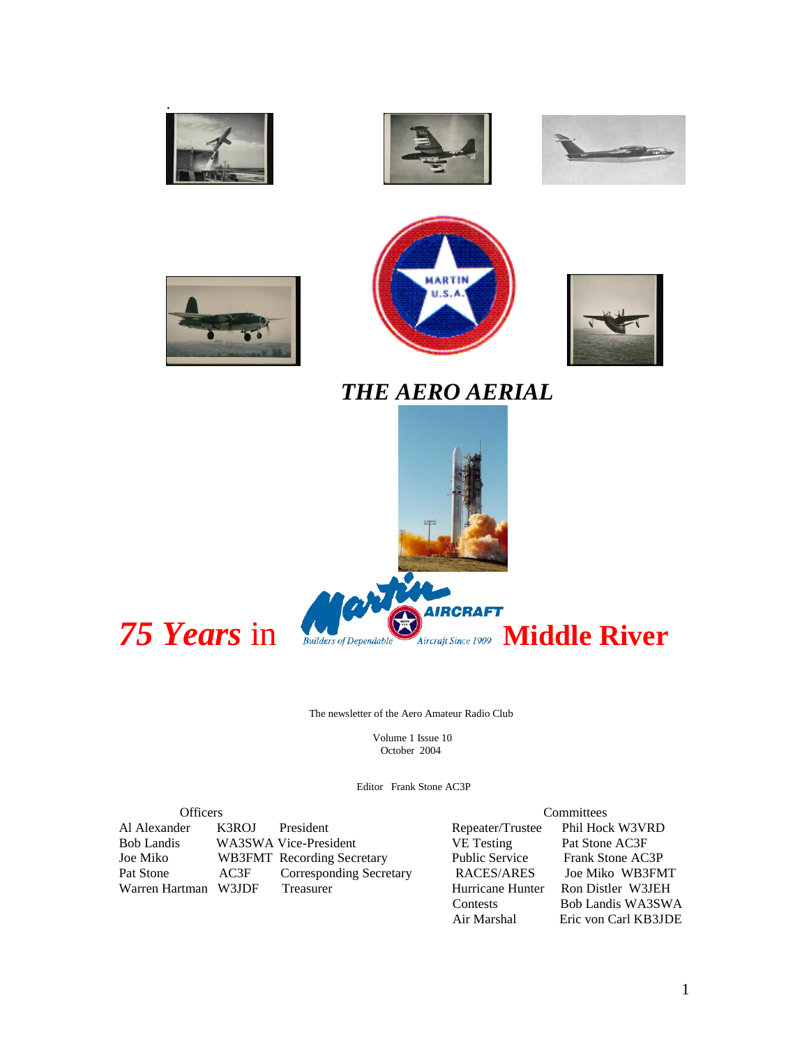











# *THE AERO AERIAL*



The newsletter of the Aero Amateur Radio Club

 Volume 1 Issue 10 October 2004

Editor Frank Stone AC3P

Officers<br>
Officers<br>
Committees<br>
Committees<br>
Committees<br>
Committees<br>
Committees<br>
Committees<br>
Committees<br>
Committees<br>
Committees<br>
Phil Hock W3VRD Al Alexander K3ROJ President Repeater/Trustee Phil Hock W3VI<br>
Bob Landis WA3SWA Vice-President VE Testing Pat Stone AC3F Bob Landis WA3SWA Vice-President VE Testing Pat Stone AC3F<br>
Joe Miko WB3FMT Recording Secretary Public Service Frank Stone AC3P Joe Miko WB3FMT Recording Secretary Public Service Frank Stone AC3P Warren Hartman W3JDF

Pat Corresponding Secretary RACES/ARES Joe Miko WB3FMT<br>
Treasurer Hurricane Hunter Ron Distler W3JEH Contests<br>
Bob Landis WA3SWA<br>
Air Marshal<br>
Eric von Carl KB3JDE

Eric von Carl KB3JDE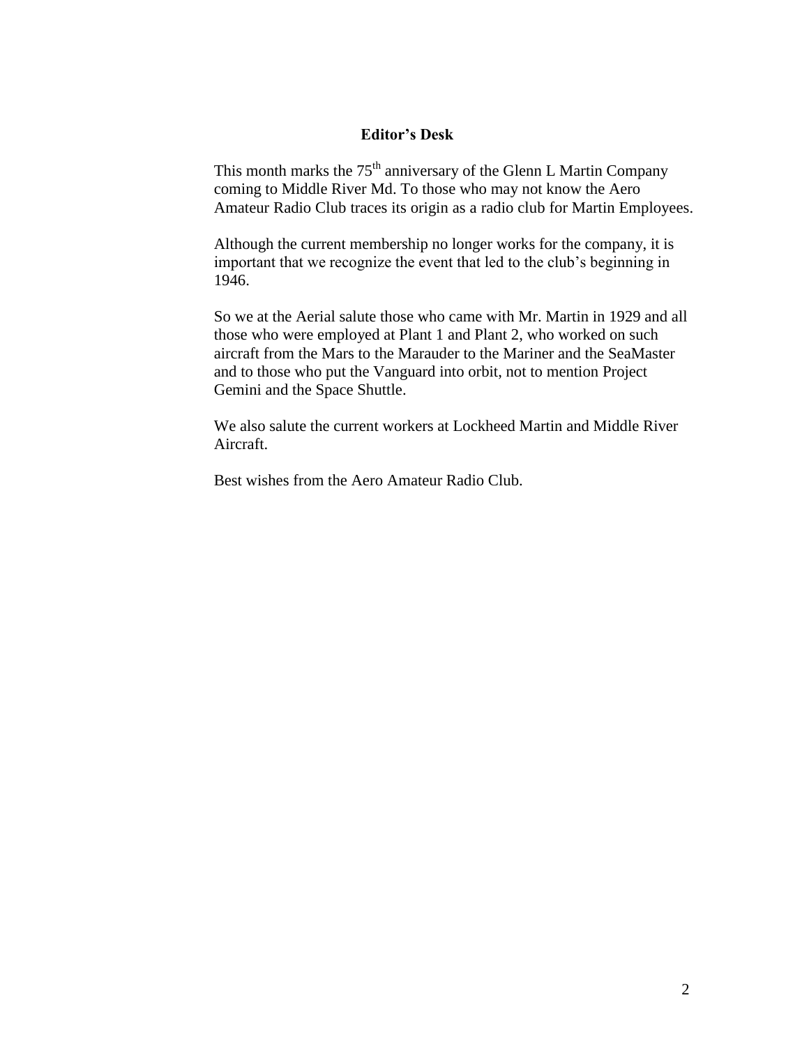#### **Editor's Desk**

This month marks the 75<sup>th</sup> anniversary of the Glenn L Martin Company coming to Middle River Md. To those who may not know the Aero Amateur Radio Club traces its origin as a radio club for Martin Employees.

Although the current membership no longer works for the company, it is important that we recognize the event that led to the club's beginning in 1946.

So we at the Aerial salute those who came with Mr. Martin in 1929 and all those who were employed at Plant 1 and Plant 2, who worked on such aircraft from the Mars to the Marauder to the Mariner and the SeaMaster and to those who put the Vanguard into orbit, not to mention Project Gemini and the Space Shuttle.

We also salute the current workers at Lockheed Martin and Middle River Aircraft.

Best wishes from the Aero Amateur Radio Club.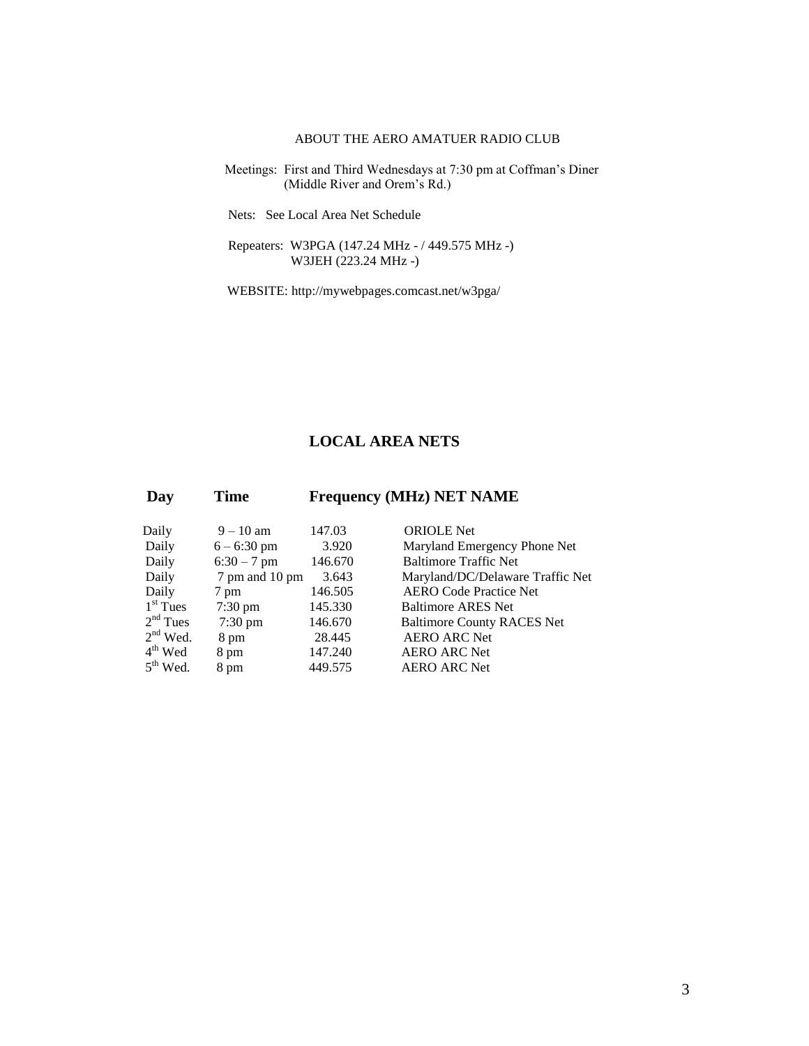#### ABOUT THE AERO AMATUER RADIO CLUB

 Meetings: First and Third Wednesdays at 7:30 pm at Coffman's Diner (Middle River and Orem's Rd.)

Nets: See Local Area Net Schedule

 Repeaters: W3PGA (147.24 MHz - / 449.575 MHz -) W3JEH (223.24 MHz -)

WEBSITE: http://mywebpages.comcast.net/w3pga/

### **LOCAL AREA NETS**

| Day        | Time              |         | <b>Frequency (MHz) NET NAME</b>   |
|------------|-------------------|---------|-----------------------------------|
| Daily      | $9 - 10$ am       | 147.03  | <b>ORIOLE</b> Net                 |
| Daily      | $6 - 6:30$ pm     | 3.920   | Maryland Emergency Phone Net      |
| Daily      | $6:30 - 7$ pm     | 146.670 | <b>Baltimore Traffic Net</b>      |
| Daily      | 7 pm and 10 pm    | 3.643   | Maryland/DC/Delaware Traffic Net  |
| Daily      | 7 pm              | 146.505 | <b>AERO Code Practice Net</b>     |
| $1st$ Tues | $7:30 \text{ pm}$ | 145.330 | <b>Baltimore ARES Net</b>         |
| $2nd$ Tues | $7:30 \text{ pm}$ | 146.670 | <b>Baltimore County RACES Net</b> |
| $2nd$ Wed. | 8 pm              | 28.445  | <b>AERO ARC Net</b>               |
| $4th$ Wed  | 8 pm              | 147.240 | <b>AERO ARC Net</b>               |
| $5th$ Wed. | 8 pm              | 449.575 | <b>AERO ARC Net</b>               |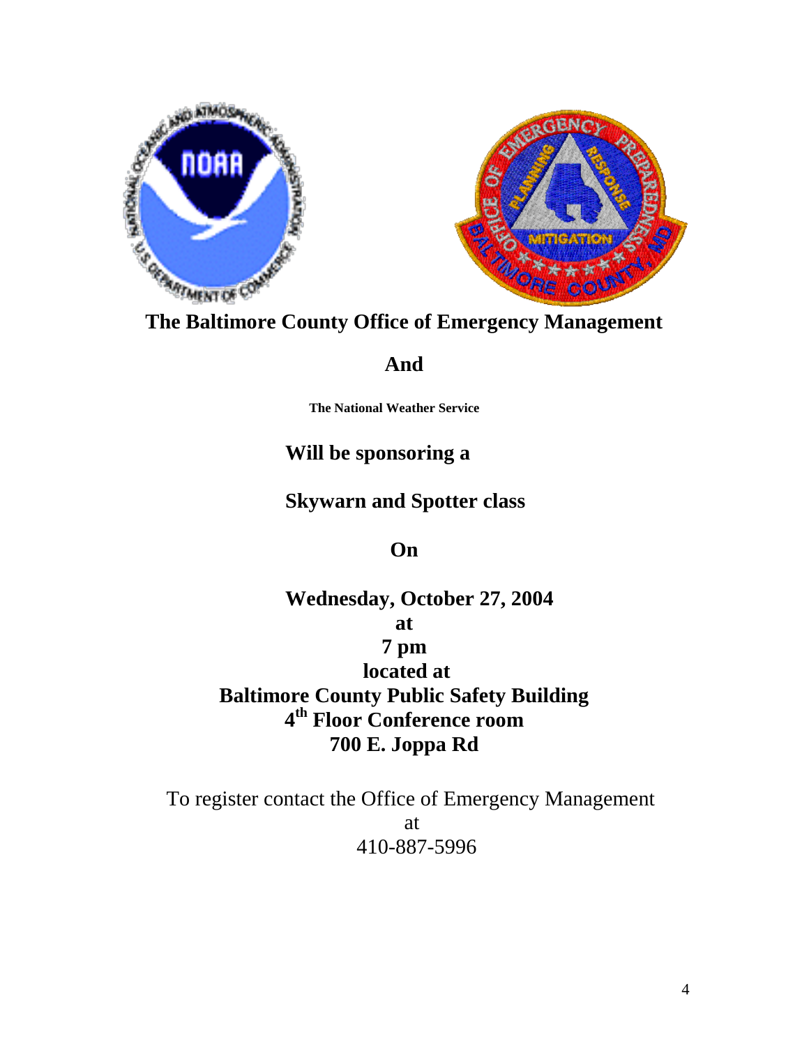



**The Baltimore County Office of Emergency Management**

# **And**

**The National Weather Service**

# **Will be sponsoring a**

# **Skywarn and Spotter class**

**On**

# **Wednesday, October 27, 2004**

# **at**

# **7 pm**

**located at Baltimore County Public Safety Building 4 th Floor Conference room 700 E. Joppa Rd**

To register contact the Office of Emergency Management at 410-887-5996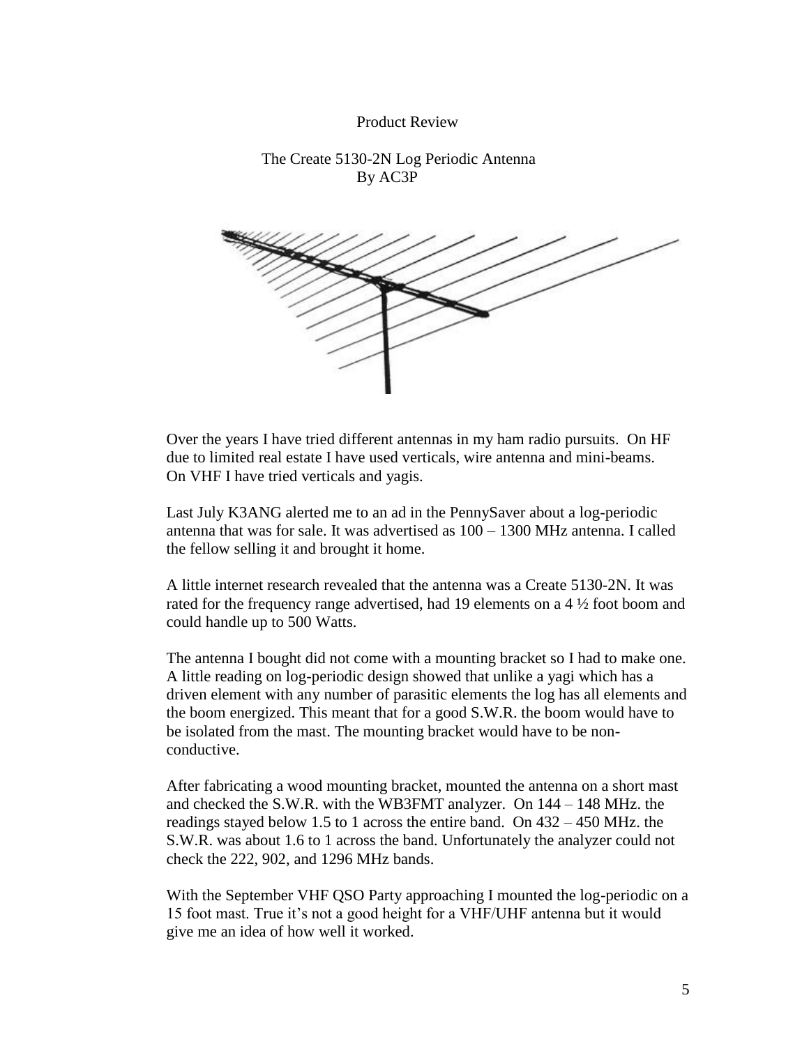#### Product Review

#### The Create 5130-2N Log Periodic Antenna By AC3P



Over the years I have tried different antennas in my ham radio pursuits. On HF due to limited real estate I have used verticals, wire antenna and mini-beams. On VHF I have tried verticals and yagis.

Last July K3ANG alerted me to an ad in the PennySaver about a log-periodic antenna that was for sale. It was advertised as 100 – 1300 MHz antenna. I called the fellow selling it and brought it home.

A little internet research revealed that the antenna was a Create 5130-2N. It was rated for the frequency range advertised, had 19 elements on a 4 ½ foot boom and could handle up to 500 Watts.

The antenna I bought did not come with a mounting bracket so I had to make one. A little reading on log-periodic design showed that unlike a yagi which has a driven element with any number of parasitic elements the log has all elements and the boom energized. This meant that for a good S.W.R. the boom would have to be isolated from the mast. The mounting bracket would have to be nonconductive.

After fabricating a wood mounting bracket, mounted the antenna on a short mast and checked the S.W.R. with the WB3FMT analyzer. On 144 – 148 MHz. the readings stayed below 1.5 to 1 across the entire band. On 432 – 450 MHz. the S.W.R. was about 1.6 to 1 across the band. Unfortunately the analyzer could not check the 222, 902, and 1296 MHz bands.

With the September VHF QSO Party approaching I mounted the log-periodic on a 15 foot mast. True it's not a good height for a VHF/UHF antenna but it would give me an idea of how well it worked.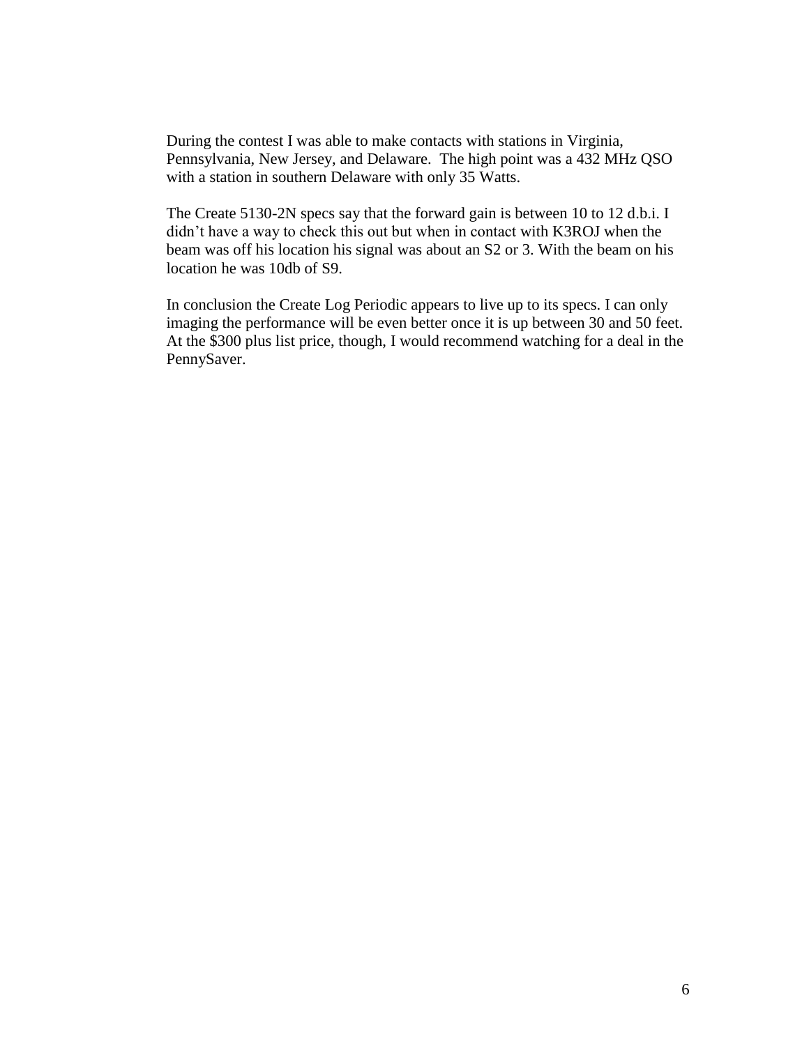During the contest I was able to make contacts with stations in Virginia, Pennsylvania, New Jersey, and Delaware. The high point was a 432 MHz QSO with a station in southern Delaware with only 35 Watts.

The Create 5130-2N specs say that the forward gain is between 10 to 12 d.b.i. I didn't have a way to check this out but when in contact with K3ROJ when the beam was off his location his signal was about an S2 or 3. With the beam on his location he was 10db of S9.

In conclusion the Create Log Periodic appears to live up to its specs. I can only imaging the performance will be even better once it is up between 30 and 50 feet. At the \$300 plus list price, though, I would recommend watching for a deal in the PennySaver.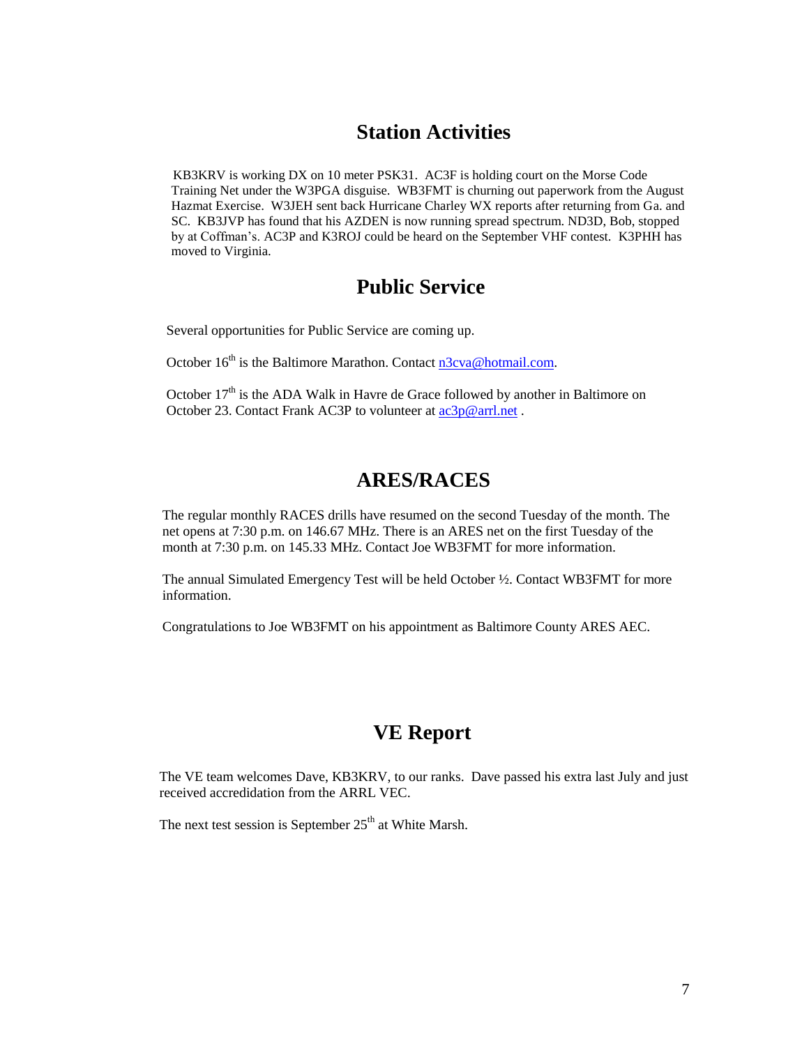### **Station Activities**

 KB3KRV is working DX on 10 meter PSK31. AC3F is holding court on the Morse Code Training Net under the W3PGA disguise. WB3FMT is churning out paperwork from the August Hazmat Exercise. W3JEH sent back Hurricane Charley WX reports after returning from Ga. and SC. KB3JVP has found that his AZDEN is now running spread spectrum. ND3D, Bob, stopped by at Coffman's. AC3P and K3ROJ could be heard on the September VHF contest. K3PHH has moved to Virginia.

### **Public Service**

Several opportunities for Public Service are coming up.

October 16<sup>th</sup> is the Baltimore Marathon. Contact [n3cva@hotmail.com.](mailto:n3cva@hotmail.com)

October  $17<sup>th</sup>$  is the ADA Walk in Havre de Grace followed by another in Baltimore on October 23. Contact Frank AC3P to volunteer at  $ac3p@arrl.net$ .

### **ARES/RACES**

The regular monthly RACES drills have resumed on the second Tuesday of the month. The net opens at 7:30 p.m. on 146.67 MHz. There is an ARES net on the first Tuesday of the month at 7:30 p.m. on 145.33 MHz. Contact Joe WB3FMT for more information.

The annual Simulated Emergency Test will be held October ½. Contact WB3FMT for more information.

Congratulations to Joe WB3FMT on his appointment as Baltimore County ARES AEC.

## **VE Report**

The VE team welcomes Dave, KB3KRV, to our ranks. Dave passed his extra last July and just received accredidation from the ARRL VEC.

The next test session is September  $25<sup>th</sup>$  at White Marsh.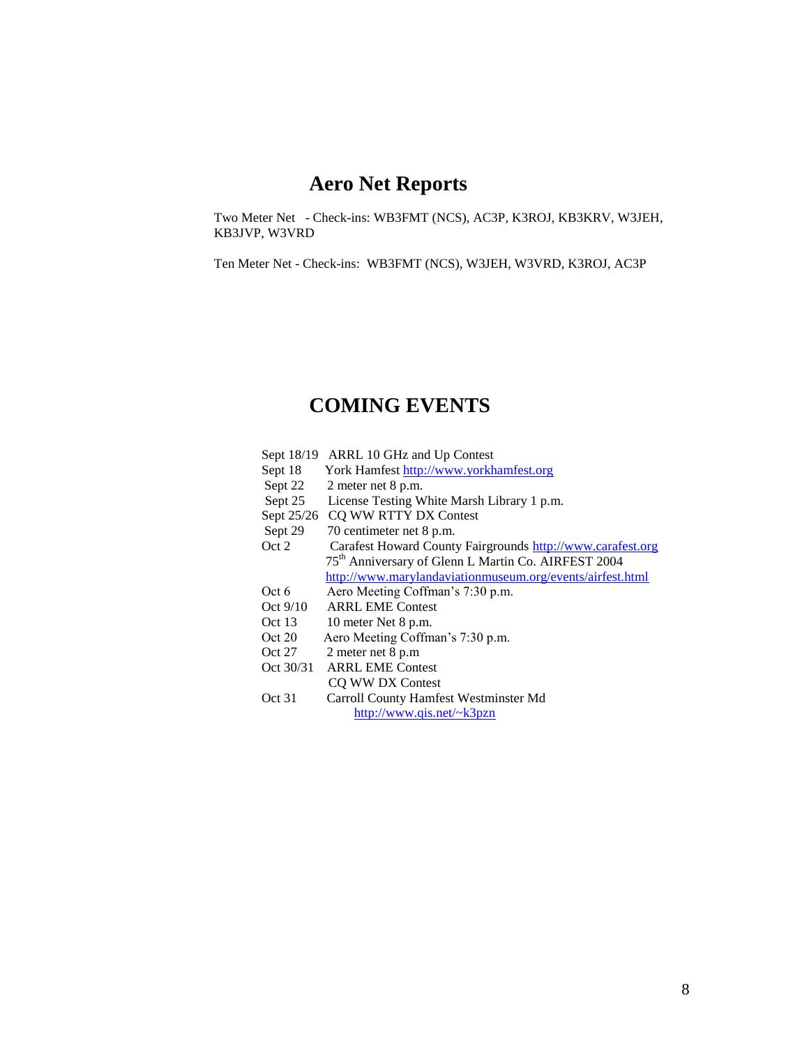### **Aero Net Reports**

Two Meter Net - Check-ins: WB3FMT (NCS), AC3P, K3ROJ, KB3KRV, W3JEH, KB3JVP, W3VRD

Ten Meter Net - Check-ins: WB3FMT (NCS), W3JEH, W3VRD, K3ROJ, AC3P

### **COMING EVENTS**

- Sept 18/19 ARRL 10 GHz and Up Contest
- Sept 18 York Hamfest [http://www.yorkhamfest.org](http://www.yorkhamfest.org/)
- Sept 22 2 meter net 8 p.m.<br>Sept 25 License Testing W
- License Testing White Marsh Library 1 p.m.
- Sept 25/26 CQ WW RTTY DX Contest
- Sept 29 70 centimeter net 8 p.m.
- Oct 2 Carafest Howard County Fairgrounds [http://www.carafest.org](http://www.carafest.org/) 75th Anniversary of Glenn L Martin Co. AIRFEST 2004 <http://www.marylandaviationmuseum.org/events/airfest.html>
- Oct 6 Aero Meeting Coffman's 7:30 p.m.
- Oct 9/10 ARRL EME Contest
- Oct 13 10 meter Net 8 p.m.
- Oct 20 Aero Meeting Coffman's 7:30 p.m.
- Oct 27 2 meter net 8 p.m
- Oct 30/31 ARRL EME Contest CQ WW DX Contest
- Oct 31 Carroll County Hamfest Westminster Md <http://www.qis.net/~k3pzn>